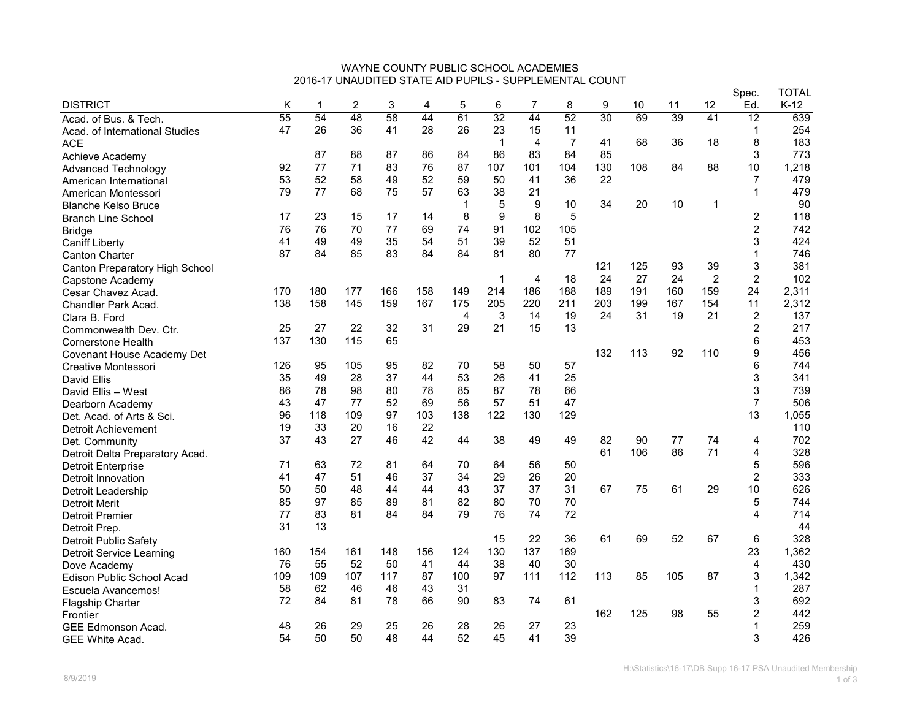## WAYNE COUNTY PUBLIC SCHOOL ACADEMIES 2016-17 UNAUDITED STATE AID PUPILS - SUPPLEMENTAL COUNT

|                                  |     |     |     |     |     |                |             |                |                |     |     |     |                | Spec.                   | <b>TOTAL</b> |
|----------------------------------|-----|-----|-----|-----|-----|----------------|-------------|----------------|----------------|-----|-----|-----|----------------|-------------------------|--------------|
| <b>DISTRICT</b>                  | Κ   | 1   | 2   | 3   | 4   | 5              | 6           | $\overline{7}$ | 8              | 9   | 10  | 11  | 12             | Ed.                     | K-12         |
| Acad. of Bus. & Tech.            | 55  | 54  | 48  | 58  | 44  | 61             | 32          | 44             | 52             | 30  | 69  | 39  | 41             | $\overline{12}$         | 639          |
| Acad. of International Studies   | 47  | 26  | 36  | 41  | 28  | 26             | 23          | 15             | 11             |     |     |     |                | $\mathbf 1$             | 254          |
| <b>ACE</b>                       |     |     |     |     |     |                | $\mathbf 1$ | $\overline{4}$ | $\overline{7}$ | 41  | 68  | 36  | 18             | 8                       | 183          |
| Achieve Academy                  |     | 87  | 88  | 87  | 86  | 84             | 86          | 83             | 84             | 85  |     |     |                | 3                       | 773          |
| <b>Advanced Technology</b>       | 92  | 77  | 71  | 83  | 76  | 87             | 107         | 101            | 104            | 130 | 108 | 84  | 88             | 10                      | 1,218        |
| American International           | 53  | 52  | 58  | 49  | 52  | 59             | 50          | 41             | 36             | 22  |     |     |                | $\overline{7}$          | 479          |
| American Montessori              | 79  | 77  | 68  | 75  | 57  | 63             | 38          | 21             |                |     |     |     |                | $\mathbf{1}$            | 479          |
| <b>Blanche Kelso Bruce</b>       |     |     |     |     |     | $\mathbf 1$    | 5           | 9              | 10             | 34  | 20  | 10  | $\mathbf 1$    |                         | 90           |
| <b>Branch Line School</b>        | 17  | 23  | 15  | 17  | 14  | 8              | 9           | 8              | 5              |     |     |     |                | $\overline{c}$          | 118          |
| <b>Bridge</b>                    | 76  | 76  | 70  | 77  | 69  | 74             | 91          | 102            | 105            |     |     |     |                | $\boldsymbol{2}$        | 742          |
| <b>Caniff Liberty</b>            | 41  | 49  | 49  | 35  | 54  | 51             | 39          | 52             | 51             |     |     |     |                | 3                       | 424          |
| <b>Canton Charter</b>            | 87  | 84  | 85  | 83  | 84  | 84             | 81          | 80             | 77             |     |     |     |                | 1                       | 746          |
| Canton Preparatory High School   |     |     |     |     |     |                |             |                |                | 121 | 125 | 93  | 39             | 3                       | 381          |
| Capstone Academy                 |     |     |     |     |     |                | $\mathbf 1$ | $\overline{4}$ | 18             | 24  | 27  | 24  | $\overline{2}$ | $\overline{2}$          | 102          |
| Cesar Chavez Acad.               | 170 | 180 | 177 | 166 | 158 | 149            | 214         | 186            | 188            | 189 | 191 | 160 | 159            | 24                      | 2,311        |
| <b>Chandler Park Acad.</b>       | 138 | 158 | 145 | 159 | 167 | 175            | 205         | 220            | 211            | 203 | 199 | 167 | 154            | 11                      | 2,312        |
| Clara B. Ford                    |     |     |     |     |     | $\overline{4}$ | 3           | 14             | 19             | 24  | 31  | 19  | 21             | $\overline{\mathbf{c}}$ | 137          |
| Commonwealth Dev. Ctr.           | 25  | 27  | 22  | 32  | 31  | 29             | 21          | 15             | 13             |     |     |     |                | $\overline{c}$          | 217          |
| <b>Cornerstone Health</b>        | 137 | 130 | 115 | 65  |     |                |             |                |                |     |     |     |                | 6                       | 453          |
| Covenant House Academy Det       |     |     |     |     |     |                |             |                |                | 132 | 113 | 92  | 110            | 9                       | 456          |
| Creative Montessori              | 126 | 95  | 105 | 95  | 82  | 70             | 58          | 50             | 57             |     |     |     |                | 6                       | 744          |
| David Ellis                      | 35  | 49  | 28  | 37  | 44  | 53             | 26          | 41             | 25             |     |     |     |                | 3                       | 341          |
| David Ellis - West               | 86  | 78  | 98  | 80  | 78  | 85             | 87          | 78             | 66             |     |     |     |                | 3                       | 739          |
| Dearborn Academy                 | 43  | 47  | 77  | 52  | 69  | 56             | 57          | 51             | 47             |     |     |     |                | $\overline{7}$          | 506          |
| Det. Acad. of Arts & Sci.        | 96  | 118 | 109 | 97  | 103 | 138            | 122         | 130            | 129            |     |     |     |                | 13                      | 1,055        |
| <b>Detroit Achievement</b>       | 19  | 33  | 20  | 16  | 22  |                |             |                |                |     |     |     |                |                         | 110          |
| Det. Community                   | 37  | 43  | 27  | 46  | 42  | 44             | 38          | 49             | 49             | 82  | 90  | 77  | 74             | 4                       | 702          |
| Detroit Delta Preparatory Acad.  |     |     |     |     |     |                |             |                |                | 61  | 106 | 86  | 71             | 4                       | 328          |
| <b>Detroit Enterprise</b>        | 71  | 63  | 72  | 81  | 64  | 70             | 64          | 56             | 50             |     |     |     |                | $\mathbf 5$             | 596          |
| Detroit Innovation               | 41  | 47  | 51  | 46  | 37  | 34             | 29          | 26             | 20             |     |     |     |                | $\overline{c}$          | 333          |
| Detroit Leadership               | 50  | 50  | 48  | 44  | 44  | 43             | 37          | 37             | 31             | 67  | 75  | 61  | 29             | 10                      | 626          |
| <b>Detroit Merit</b>             | 85  | 97  | 85  | 89  | 81  | 82             | 80          | 70             | 70             |     |     |     |                | $\mathbf 5$             | 744          |
| <b>Detroit Premier</b>           | 77  | 83  | 81  | 84  | 84  | 79             | 76          | 74             | 72             |     |     |     |                | 4                       | 714          |
| Detroit Prep.                    | 31  | 13  |     |     |     |                |             |                |                |     |     |     |                |                         | 44           |
| <b>Detroit Public Safety</b>     |     |     |     |     |     |                | 15          | 22             | 36             | 61  | 69  | 52  | 67             | 6                       | 328          |
| <b>Detroit Service Learning</b>  | 160 | 154 | 161 | 148 | 156 | 124            | 130         | 137            | 169            |     |     |     |                | 23                      | 1,362        |
| Dove Academy                     | 76  | 55  | 52  | 50  | 41  | 44             | 38          | 40             | 30             |     |     |     |                | $\overline{4}$          | 430          |
| <b>Edison Public School Acad</b> | 109 | 109 | 107 | 117 | 87  | 100            | 97          | 111            | 112            | 113 | 85  | 105 | 87             | 3                       | 1,342        |
| Escuela Avancemos!               | 58  | 62  | 46  | 46  | 43  | 31             |             |                |                |     |     |     |                | $\mathbf{1}$            | 287          |
| <b>Flagship Charter</b>          | 72  | 84  | 81  | 78  | 66  | 90             | 83          | 74             | 61             |     |     |     |                | 3                       | 692          |
| Frontier                         |     |     |     |     |     |                |             |                |                | 162 | 125 | 98  | 55             | $\overline{c}$          | 442          |
| <b>GEE Edmonson Acad.</b>        | 48  | 26  | 29  | 25  | 26  | 28             | 26          | 27             | 23             |     |     |     |                | $\mathbf{1}$            | 259          |
| <b>GEE White Acad.</b>           | 54  | 50  | 50  | 48  | 44  | 52             | 45          | 41             | 39             |     |     |     |                | 3                       | 426          |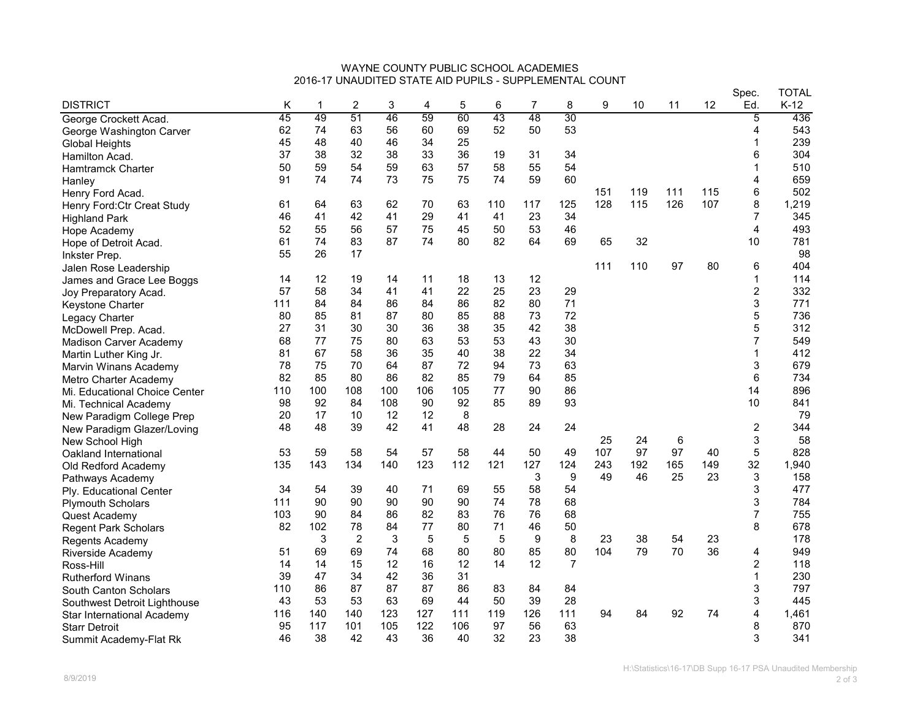## WAYNE COUNTY PUBLIC SCHOOL ACADEMIES 2016-17 UNAUDITED STATE AID PUPILS - SUPPLEMENTAL COUNT

|                               |     |     |                |     |     |     |     |     |                |     |     |     |     | Spec.          | <b>TOTAL</b> |
|-------------------------------|-----|-----|----------------|-----|-----|-----|-----|-----|----------------|-----|-----|-----|-----|----------------|--------------|
| <b>DISTRICT</b>               | Κ   | 1   | 2              | 3   | 4   | 5   | 6   | 7   | 8              | 9   | 10  | 11  | 12  | Ed.            | $K-12$       |
| George Crockett Acad.         | 45  | 49  | 51             | 46  | 59  | 60  | 43  | 48  | 30             |     |     |     |     | 5              | 436          |
| George Washington Carver      | 62  | 74  | 63             | 56  | 60  | 69  | 52  | 50  | 53             |     |     |     |     | 4              | 543          |
| <b>Global Heights</b>         | 45  | 48  | 40             | 46  | 34  | 25  |     |     |                |     |     |     |     | -1             | 239          |
| Hamilton Acad.                | 37  | 38  | 32             | 38  | 33  | 36  | 19  | 31  | 34             |     |     |     |     | 6              | 304          |
| Hamtramck Charter             | 50  | 59  | 54             | 59  | 63  | 57  | 58  | 55  | 54             |     |     |     |     |                | 510          |
| Hanley                        | 91  | 74  | 74             | 73  | 75  | 75  | 74  | 59  | 60             |     |     |     |     | 4              | 659          |
| Henry Ford Acad.              |     |     |                |     |     |     |     |     |                | 151 | 119 | 111 | 115 | 6              | 502          |
| Henry Ford: Ctr Creat Study   | 61  | 64  | 63             | 62  | 70  | 63  | 110 | 117 | 125            | 128 | 115 | 126 | 107 | 8              | 1,219        |
| <b>Highland Park</b>          | 46  | 41  | 42             | 41  | 29  | 41  | 41  | 23  | 34             |     |     |     |     | $\overline{7}$ | 345          |
| Hope Academy                  | 52  | 55  | 56             | 57  | 75  | 45  | 50  | 53  | 46             |     |     |     |     | 4              | 493          |
| Hope of Detroit Acad.         | 61  | 74  | 83             | 87  | 74  | 80  | 82  | 64  | 69             | 65  | 32  |     |     | 10             | 781          |
| Inkster Prep.                 | 55  | 26  | 17             |     |     |     |     |     |                |     |     |     |     |                | 98           |
| Jalen Rose Leadership         |     |     |                |     |     |     |     |     |                | 111 | 110 | 97  | 80  | 6              | 404          |
| James and Grace Lee Boggs     | 14  | 12  | 19             | 14  | 11  | 18  | 13  | 12  |                |     |     |     |     | 1              | 114          |
| Joy Preparatory Acad.         | 57  | 58  | 34             | 41  | 41  | 22  | 25  | 23  | 29             |     |     |     |     | $\overline{c}$ | 332          |
| Keystone Charter              | 111 | 84  | 84             | 86  | 84  | 86  | 82  | 80  | 71             |     |     |     |     | 3              | 771          |
| Legacy Charter                | 80  | 85  | 81             | 87  | 80  | 85  | 88  | 73  | 72             |     |     |     |     | 5              | 736          |
| McDowell Prep. Acad.          | 27  | 31  | 30             | 30  | 36  | 38  | 35  | 42  | 38             |     |     |     |     | 5              | 312          |
| <b>Madison Carver Academy</b> | 68  | 77  | 75             | 80  | 63  | 53  | 53  | 43  | 30             |     |     |     |     | 7              | 549          |
| Martin Luther King Jr.        | 81  | 67  | 58             | 36  | 35  | 40  | 38  | 22  | 34             |     |     |     |     | 1              | 412          |
| Marvin Winans Academy         | 78  | 75  | 70             | 64  | 87  | 72  | 94  | 73  | 63             |     |     |     |     | 3              | 679          |
| Metro Charter Academy         | 82  | 85  | 80             | 86  | 82  | 85  | 79  | 64  | 85             |     |     |     |     | 6              | 734          |
| Mi. Educational Choice Center | 110 | 100 | 108            | 100 | 106 | 105 | 77  | 90  | 86             |     |     |     |     | 14             | 896          |
| Mi. Technical Academy         | 98  | 92  | 84             | 108 | 90  | 92  | 85  | 89  | 93             |     |     |     |     | 10             | 841          |
| New Paradigm College Prep     | 20  | 17  | 10             | 12  | 12  | 8   |     |     |                |     |     |     |     |                | 79           |
| New Paradigm Glazer/Loving    | 48  | 48  | 39             | 42  | 41  | 48  | 28  | 24  | 24             |     |     |     |     | 2              | 344          |
| New School High               |     |     |                |     |     |     |     |     |                | 25  | 24  | 6   |     | 3              | 58           |
| Oakland International         | 53  | 59  | 58             | 54  | 57  | 58  | 44  | 50  | 49             | 107 | 97  | 97  | 40  | 5              | 828          |
| Old Redford Academy           | 135 | 143 | 134            | 140 | 123 | 112 | 121 | 127 | 124            | 243 | 192 | 165 | 149 | 32             | 1,940        |
| Pathways Academy              |     |     |                |     |     |     |     | 3   | 9              | 49  | 46  | 25  | 23  | 3              | 158          |
| Ply. Educational Center       | 34  | 54  | 39             | 40  | 71  | 69  | 55  | 58  | 54             |     |     |     |     | 3              | 477          |
| <b>Plymouth Scholars</b>      | 111 | 90  | 90             | 90  | 90  | 90  | 74  | 78  | 68             |     |     |     |     | 3              | 784          |
| Quest Academy                 | 103 | 90  | 84             | 86  | 82  | 83  | 76  | 76  | 68             |     |     |     |     | $\overline{7}$ | 755          |
| <b>Regent Park Scholars</b>   | 82  | 102 | 78             | 84  | 77  | 80  | 71  | 46  | 50             |     |     |     |     | 8              | 678          |
| Regents Academy               |     | 3   | $\overline{2}$ | 3   | 5   | 5   | 5   | 9   | 8              | 23  | 38  | 54  | 23  |                | 178          |
| Riverside Academy             | 51  | 69  | 69             | 74  | 68  | 80  | 80  | 85  | 80             | 104 | 79  | 70  | 36  | 4              | 949          |
| Ross-Hill                     | 14  | 14  | 15             | 12  | 16  | 12  | 14  | 12  | $\overline{7}$ |     |     |     |     | $\overline{c}$ | 118          |
| Rutherford Winans             | 39  | 47  | 34             | 42  | 36  | 31  |     |     |                |     |     |     |     | 1              | 230          |
| South Canton Scholars         | 110 | 86  | 87             | 87  | 87  | 86  | 83  | 84  | 84             |     |     |     |     | 3              | 797          |
| Southwest Detroit Lighthouse  | 43  | 53  | 53             | 63  | 69  | 44  | 50  | 39  | 28             |     |     |     |     | 3              | 445          |
| Star International Academy    | 116 | 140 | 140            | 123 | 127 | 111 | 119 | 126 | 111            | 94  | 84  | 92  | 74  | 4              | 1,461        |
| <b>Starr Detroit</b>          | 95  | 117 | 101            | 105 | 122 | 106 | 97  | 56  | 63             |     |     |     |     | 8              | 870          |
| Summit Academy-Flat Rk        | 46  | 38  | 42             | 43  | 36  | 40  | 32  | 23  | 38             |     |     |     |     | 3              | 341          |